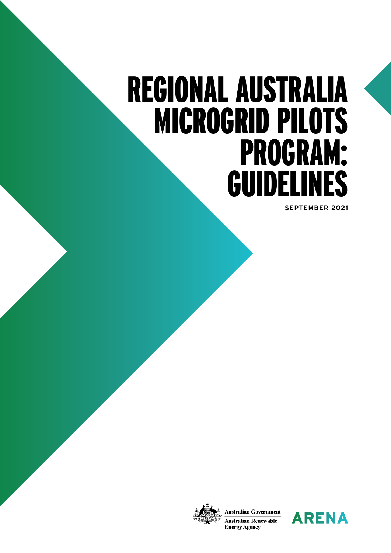# REGIONAL AUSTRALIA MICROGRID PILOTS PROGRAM: GUIDELINES

**SEPTEMBER 2021**



**Australian Government Australian Renewable Energy Agency** 

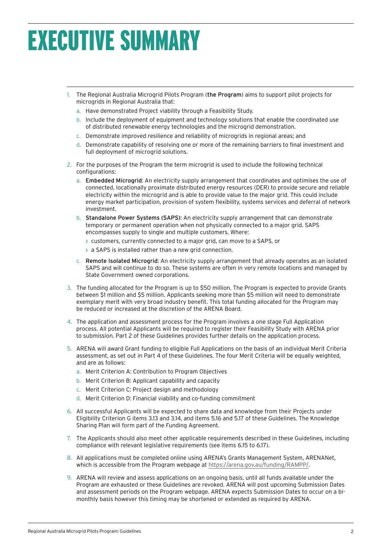### <span id="page-1-0"></span>EXECUTIVE SUMMARY

- 1. The Regional Australia Microgrid Pilots Program (the Program) aims to support pilot projects for microgrids in Regional Australia that:
	- a. Have demonstrated Project viability through a Feasibility Study.
	- b. Include the deployment of equipment and technology solutions that enable the coordinated use of distributed renewable energy technologies and the microgrid demonstration.
	- c. Demonstrate improved resilience and reliability of microgrids in regional areas; and
	- d. Demonstrate capability of resolving one or more of the remaining barriers to final investment and full deployment of microgrid solutions.
- 2. For the purposes of the Program the term microgrid is used to include the following technical configurations:
	- a. Embedded Microgrid: An electricity supply arrangement that coordinates and optimises the use of connected, locationally proximate distributed energy resources (DER) to provide secure and reliable electricity within the microgrid and is able to provide value to the major grid. This could include energy market participation, provision of system flexibility, systems services and deferral of network investment.
	- b. Standalone Power Systems (SAPS): An electricity supply arrangement that can demonstrate temporary or permanent operation when not physically connected to a major grid. SAPS encompasses supply to single and multiple customers. Where:
		- › customers, currently connected to a major grid, can move to a SAPS, or
		- › a SAPS is installed rather than a new grid connection.
	- c. Remote Isolated Microgrid: An electricity supply arrangement that already operates as an isolated SAPS and will continue to do so. These systems are often in very remote locations and managed by State Government owned corporations.
- 3. The funding allocated for the Program is up to \$50 million. The Program is expected to provide Grants between \$1 million and \$5 million. Applicants seeking more than \$5 million will need to demonstrate exemplary merit with very broad industry benefit. This total funding allocated for the Program may be reduced or increased at the discretion of the ARENA Board.
- 4. The application and assessment process for the Program involves a one stage Full Application process. All potential Applicants will be required to register their Feasibility Study with ARENA prior to submission. Part 2 of these Guidelines provides further details on the application process.
- 5. ARENA will award Grant funding to eligible Full Applications on the basis of an individual Merit Criteria assessment, as set out in Part 4 of these Guidelines. The four Merit Criteria will be equally weighted, and are as follows:
	- a. Merit Criterion A: Contribution to Program Objectives
	- b. Merit Criterion B: Applicant capability and capacity
	- c. Merit Criterion C: Project design and methodology
	- d. Merit Criterion D: Financial viability and co-funding commitment
- 6. All successful Applicants will be expected to share data and knowledge from their Projects under Eligibility Criterion G items 3.13 and 3.14, and items 5.16 and 5.17 of these Guidelines. The Knowledge Sharing Plan will form part of the Funding Agreement.
- 7. The Applicants should also meet other applicable requirements described in these Guidelines, including compliance with relevant legislative requirements (see items 6.15 to 6.17).
- 8. All applications must be completed online using ARENA's Grants Management System, ARENANet, which is accessible from the Program webpage at [https://arena.gov.au/funding/RAMPP/.](https://arena.gov.au/funding/RAMPP/)
- 9. ARENA will review and assess applications on an ongoing basis, until all funds available under the Program are exhausted or these Guidelines are revoked. ARENA will post upcoming Submission Dates and assessment periods on the Program webpage. ARENA expects Submission Dates to occur on a bimonthly basis however this timing may be shortened or extended as required by ARENA.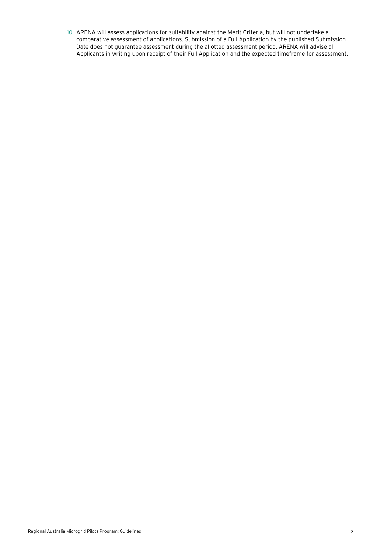10. ARENA will assess applications for suitability against the Merit Criteria, but will not undertake a comparative assessment of applications. Submission of a Full Application by the published Submission Date does not guarantee assessment during the allotted assessment period. ARENA will advise all Applicants in writing upon receipt of their Full Application and the expected timeframe for assessment.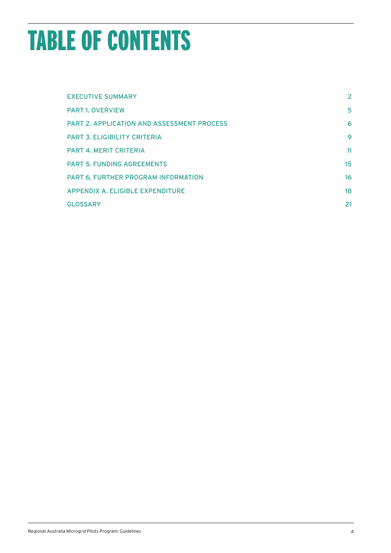## TABLE OF CONTENTS

| <b>EXECUTIVE SUMMARY</b>                          | 2  |
|---------------------------------------------------|----|
| <b>PART 1. OVERVIEW</b>                           | 5  |
| <b>PART 2. APPLICATION AND ASSESSMENT PROCESS</b> | 6  |
| <b>PART 3. ELIGIBILITY CRITERIA</b>               | 9  |
| <b>PART 4. MERIT CRITERIA</b>                     | 11 |
| <b>PART 5. FUNDING AGREEMENTS</b>                 | 15 |
| <b>PART 6. FURTHER PROGRAM INFORMATION</b>        | 16 |
| APPENDIX A. ELIGIBLE EXPENDITURE                  | 18 |
| <b>GLOSSARY</b>                                   | 21 |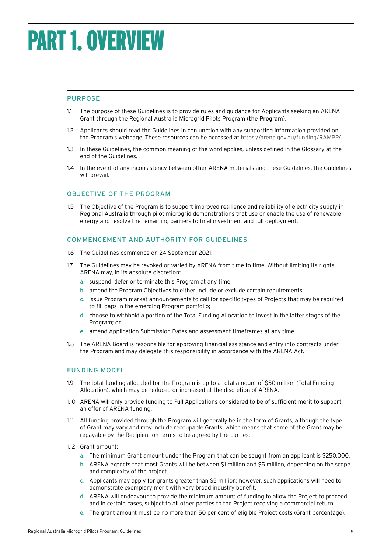### <span id="page-4-0"></span>Part 1. OVERVIEW

#### PURPOSE

- 1.1 The purpose of these Guidelines is to provide rules and guidance for Applicants seeking an ARENA Grant through the Regional Australia Microgrid Pilots Program (the Program).
- 1.2 Applicants should read the Guidelines in conjunction with any supporting information provided on the Program's webpage. These resources can be accessed at <https://arena.gov.au/funding/RAMPP/>.
- 1.3 In these Guidelines, the common meaning of the word applies, unless defined in the Glossary at the end of the Guidelines.
- 1.4 In the event of any inconsistency between other ARENA materials and these Guidelines, the Guidelines will prevail.

#### OBJECTIVE OF THE PROGRAM

1.5 The Objective of the Program is to support improved resilience and reliability of electricity supply in Regional Australia through pilot microgrid demonstrations that use or enable the use of renewable energy and resolve the remaining barriers to final investment and full deployment.

#### COMMENCEMENT AND AUTHORITY FOR GUIDELINES

- 1.6 The Guidelines commence on 24 September 2021.
- 1.7 The Guidelines may be revoked or varied by ARENA from time to time. Without limiting its rights, ARENA may, in its absolute discretion:
	- a. suspend, defer or terminate this Program at any time;
	- b. amend the Program Objectives to either include or exclude certain requirements;
	- c. issue Program market announcements to call for specific types of Projects that may be required to fill gaps in the emerging Program portfolio;
	- d. choose to withhold a portion of the Total Funding Allocation to invest in the latter stages of the Program; or
	- e. amend Application Submission Dates and assessment timeframes at any time.
- 1.8 The ARENA Board is responsible for approving financial assistance and entry into contracts under the Program and may delegate this responsibility in accordance with the ARENA Act.

#### FUNDING MODEL

- 1.9 The total funding allocated for the Program is up to a total amount of \$50 million (Total Funding Allocation), which may be reduced or increased at the discretion of ARENA.
- 1.10 ARENA will only provide funding to Full Applications considered to be of sufficient merit to support an offer of ARENA funding.
- 1.11 All funding provided through the Program will generally be in the form of Grants, although the type of Grant may vary and may include recoupable Grants, which means that some of the Grant may be repayable by the Recipient on terms to be agreed by the parties.
- 1.12 Grant amount:
	- a. The minimum Grant amount under the Program that can be sought from an applicant is \$250,000.
	- b. ARENA expects that most Grants will be between \$1 million and \$5 million, depending on the scope and complexity of the project.
	- c. Applicants may apply for grants greater than \$5 million; however, such applications will need to demonstrate exemplary merit with very broad industry benefit.
	- d. ARENA will endeavour to provide the minimum amount of funding to allow the Project to proceed, and in certain cases, subject to all other parties to the Project receiving a commercial return.
	- e. The grant amount must be no more than 50 per cent of eligible Project costs (Grant percentage).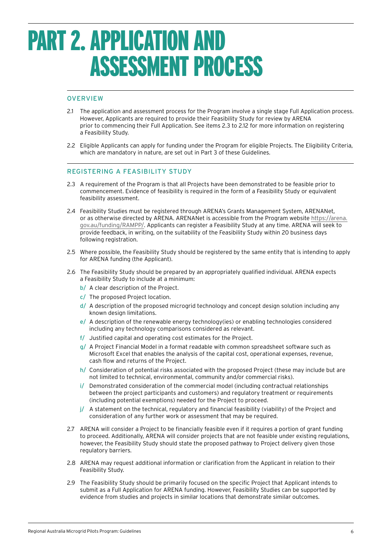### <span id="page-5-0"></span>Part 2. APPLICATION AND ASSESSMENT PROCESS

#### **OVERVIEW**

- 2.1 The application and assessment process for the Program involve a single stage Full Application process. However, Applicants are required to provide their Feasibility Study for review by ARENA prior to commencing their Full Application. See items 2.3 to 2.12 for more information on registering a Feasibility Study.
- 2.2 Eligible Applicants can apply for funding under the Program for eligible Projects. The Eligibility Criteria, which are mandatory in nature, are set out in Part 3 of these Guidelines.

#### REGISTERING A FEASIBILITY STUDY

- 2.3 A requirement of the Program is that all Projects have been demonstrated to be feasible prior to commencement. Evidence of feasibility is required in the form of a Feasibility Study or equivalent feasibility assessment.
- 2.4 Feasibility Studies must be registered through ARENA's Grants Management System, ARENANet, or as otherwise directed by ARENA. ARENANet is accessible from the Program website [https://arena.](https://arena.gov.au/funding/RAMPP/) [gov.au/funding/RAMPP/](https://arena.gov.au/funding/RAMPP/). Applicants can register a Feasibility Study at any time. ARENA will seek to provide feedback, in writing, on the suitability of the Feasibility Study within 20 business days following registration.
- 2.5 Where possible, the Feasibility Study should be registered by the same entity that is intending to apply for ARENA funding (the Applicant).
- 2.6 The Feasibility Study should be prepared by an appropriately qualified individual. ARENA expects a Feasibility Study to include at a minimum:
	- b/ A clear description of the Project.
	- c/ The proposed Project location.
	- d/ A description of the proposed microgrid technology and concept design solution including any known design limitations.
	- $e$ / A description of the renewable energy technology(ies) or enabling technologies considered including any technology comparisons considered as relevant.
	- f/ Justified capital and operating cost estimates for the Project.
	- g/ A Project Financial Model in a format readable with common spreadsheet software such as Microsoft Excel that enables the analysis of the capital cost, operational expenses, revenue, cash flow and returns of the Project.
	- h/ Consideration of potential risks associated with the proposed Project (these may include but are not limited to technical, environmental, community and/or commercial risks).
	- i/ Demonstrated consideration of the commercial model (including contractual relationships between the project participants and customers) and regulatory treatment or requirements (including potential exemptions) needed for the Project to proceed.
	- $j$  A statement on the technical, regulatory and financial feasibility (viability) of the Project and consideration of any further work or assessment that may be required.
- 2.7 ARENA will consider a Project to be financially feasible even if it requires a portion of grant funding to proceed. Additionally, ARENA will consider projects that are not feasible under existing regulations, however, the Feasibility Study should state the proposed pathway to Project delivery given those regulatory barriers.
- 2.8 ARENA may request additional information or clarification from the Applicant in relation to their Feasibility Study.
- 2.9 The Feasibility Study should be primarily focused on the specific Project that Applicant intends to submit as a Full Application for ARENA funding. However, Feasibility Studies can be supported by evidence from studies and projects in similar locations that demonstrate similar outcomes.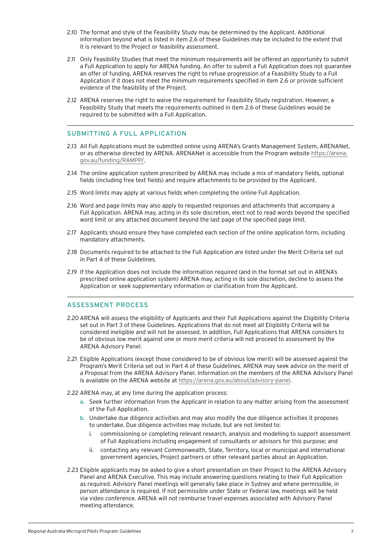- 2.10 The format and style of the Feasibility Study may be determined by the Applicant. Additional information beyond what is listed in item 2.6 of these Guidelines may be included to the extent that it is relevant to the Project or feasibility assessment.
- 2.11 Only Feasibility Studies that meet the minimum requirements will be offered an opportunity to submit a Full Application to apply for ARENA funding. An offer to submit a Full Application does not guarantee an offer of funding. ARENA reserves the right to refuse progression of a Feasibility Study to a Full Application if it does not meet the minimum requirements specified in item 2.6 or provide sufficient evidence of the feasibility of the Project.
- 2.12 ARENA reserves the right to waive the requirement for Feasibility Study registration. However, a Feasibility Study that meets the requirements outlined in item 2.6 of these Guidelines would be required to be submitted with a Full Application.

#### SUBMITTING A FULL APPLICATION

- 2.13 All Full Applications must be submitted online using ARENA's Grants Management System, ARENANet, or as otherwise directed by ARENA. ARENANet is accessible from the Program website [https://arena.](https://arena.gov.au/funding/RAMPP/) [gov.au/funding/RAMPP/](https://arena.gov.au/funding/RAMPP/).
- 2.14 The online application system prescribed by ARENA may include a mix of mandatory fields, optional fields (including free text fields) and require attachments to be provided by the Applicant.
- 2.15 Word limits may apply at various fields when completing the online Full Application.
- 2.16 Word and page limits may also apply to requested responses and attachments that accompany a Full Application. ARENA may, acting in its sole discretion, elect not to read words beyond the specified word limit or any attached document beyond the last page of the specified page limit.
- 2.17 Applicants should ensure they have completed each section of the online application form, including mandatory attachments.
- 2.18 Documents required to be attached to the Full Application are listed under the Merit Criteria set out in Part 4 of these Guidelines.
- 2.19 If the Application does not include the information required (and in the format set out in ARENA's prescribed online application system) ARENA may, acting in its sole discretion, decline to assess the Application or seek supplementary information or clarification from the Applicant.

#### ASSESSMENT PROCESS

- 2.20 ARENA will assess the eligibility of Applicants and their Full Applications against the Eligibility Criteria set out in Part 3 of these Guidelines. Applications that do not meet all Eligibility Criteria will be considered ineligible and will not be assessed. In addition, Full Applications that ARENA considers to be of obvious low merit against one or more merit criteria will not proceed to assessment by the ARENA Advisory Panel.
- 2.21 Eligible Applications (except those considered to be of obvious low merit) will be assessed against the Program's Merit Criteria set out in Part 4 of these Guidelines. ARENA may seek advice on the merit of a Proposal from the ARENA Advisory Panel. Information on the members of the ARENA Advisory Panel is available on the ARENA website at [https://arena.gov.au/about/advisory-panel.](https://arena.gov.au/about/advisory-panel)
- 2.22 ARENA may, at any time during the application process:
	- a. Seek further information from the Applicant in relation to any matter arising from the assessment of the Full Application.
	- b. Undertake due diligence activities and may also modify the due diligence activities it proposes to undertake. Due diligence activities may include, but are not limited to:
		- i. commissioning or completing relevant research, analysis and modelling to support assessment of Full Applications including engagement of consultants or advisors for this purpose; and
		- ii. contacting any relevant Commonwealth, State, Territory, local or municipal and international government agencies, Project partners or other relevant parties about an Application.
- 2.23 Eligible applicants may be asked to give a short presentation on their Project to the ARENA Advisory Panel and ARENA Executive. This may include answering questions relating to their Full Application as required. Advisory Panel meetings will generally take place in Sydney and where permissible, in person attendance is required. If not permissible under State or Federal law, meetings will be held via video conference. ARENA will not reimburse travel expenses associated with Advisory Panel meeting attendance.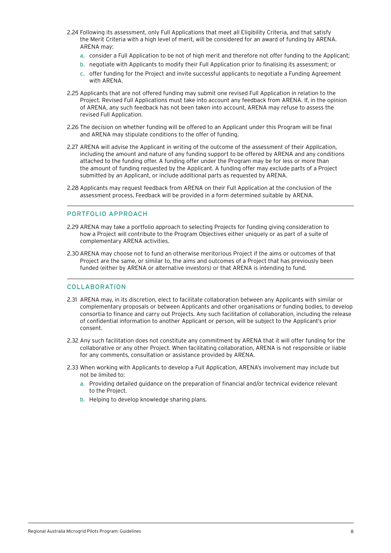- 2.24 Following its assessment, only Full Applications that meet all Eligibility Criteria, and that satisfy the Merit Criteria with a high level of merit, will be considered for an award of funding by ARENA. ARENA may:
	- a. consider a Full Application to be not of high merit and therefore not offer funding to the Applicant;
	- b. negotiate with Applicants to modify their Full Application prior to finalising its assessment; or
	- c. offer funding for the Project and invite successful applicants to negotiate a Funding Agreement with ARENA.
- 2.25 Applicants that are not offered funding may submit one revised Full Application in relation to the Project. Revised Full Applications must take into account any feedback from ARENA. If, in the opinion of ARENA, any such feedback has not been taken into account, ARENA may refuse to assess the revised Full Application.
- 2.26 The decision on whether funding will be offered to an Applicant under this Program will be final and ARENA may stipulate conditions to the offer of funding.
- 2.27 ARENA will advise the Applicant in writing of the outcome of the assessment of their Application, including the amount and nature of any funding support to be offered by ARENA and any conditions attached to the funding offer. A funding offer under the Program may be for less or more than the amount of funding requested by the Applicant. A funding offer may exclude parts of a Project submitted by an Applicant, or include additional parts as requested by ARENA.
- 2.28 Applicants may request feedback from ARENA on their Full Application at the conclusion of the assessment process. Feedback will be provided in a form determined suitable by ARENA.

#### PORTFOLIO APPROACH

- 2.29 ARENA may take a portfolio approach to selecting Projects for funding giving consideration to how a Project will contribute to the Program Objectives either uniquely or as part of a suite of complementary ARENA activities.
- 2.30 ARENA may choose not to fund an otherwise meritorious Project if the aims or outcomes of that Project are the same, or similar to, the aims and outcomes of a Project that has previously been funded (either by ARENA or alternative investors) or that ARENA is intending to fund.

#### COLLABORATION

- 2.31 ARENA may, in its discretion, elect to facilitate collaboration between any Applicants with similar or complementary proposals or between Applicants and other organisations or funding bodies, to develop consortia to finance and carry out Projects. Any such facilitation of collaboration, including the release of confidential information to another Applicant or person, will be subject to the Applicant's prior consent.
- 2.32 Any such facilitation does not constitute any commitment by ARENA that it will offer funding for the collaborative or any other Project. When facilitating collaboration, ARENA is not responsible or liable for any comments, consultation or assistance provided by ARENA.
- 2.33 When working with Applicants to develop a Full Application, ARENA's involvement may include but not be limited to:
	- a. Providing detailed guidance on the preparation of financial and/or technical evidence relevant to the Project.
	- b. Helping to develop knowledge sharing plans.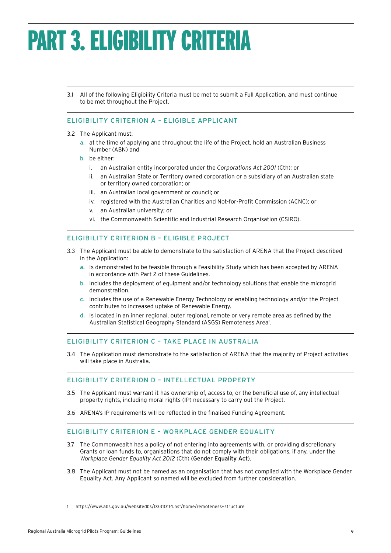### <span id="page-8-0"></span>Part 3. ELIGIBILITY CRITERIA

3.1 All of the following Eligibility Criteria must be met to submit a Full Application, and must continue to be met throughout the Project.

#### ELIGIBILITY CRITERION A – ELIGIBLE APPLICANT

- 3.2 The Applicant must:
	- a. at the time of applying and throughout the life of the Project, hold an Australian Business Number (ABN) and
	- b. be either:
		- i. an Australian entity incorporated under the *Corporations Act 2001* (Cth); or
		- ii. an Australian State or Territory owned corporation or a subsidiary of an Australian state or territory owned corporation; or
		- iii. an Australian local government or council; or
		- iv. registered with the Australian Charities and Not-for-Profit Commission (ACNC); or
		- v. an Australian university; or
		- vi. the Commonwealth Scientific and Industrial Research Organisation (CSIRO).

#### ELIGIBILITY CRITERION B – ELIGIBLE PROJECT

- 3.3 The Applicant must be able to demonstrate to the satisfaction of ARENA that the Project described in the Application:
	- a. Is demonstrated to be feasible through a Feasibility Study which has been accepted by ARENA in accordance with Part 2 of these Guidelines.
	- b. Includes the deployment of equipment and/or technology solutions that enable the microgrid demonstration.
	- c. Includes the use of a Renewable Energy Technology or enabling technology and/or the Project contributes to increased uptake of Renewable Energy.
	- d. Is located in an inner regional, outer regional, remote or very remote area as defined by the Australian Statistical Geography Standard (ASGS) Remoteness Area<sup>1</sup>.

#### ELIGIBILITY CRITERION C – TAKE PLACE IN AUSTRALIA

3.4 The Application must demonstrate to the satisfaction of ARENA that the majority of Project activities will take place in Australia.

#### ELIGIBILITY CRITERION D – INTELLECTUAL PROPERTY

- 3.5 The Applicant must warrant it has ownership of, access to, or the beneficial use of, any intellectual property rights, including moral rights (IP) necessary to carry out the Project.
- 3.6 ARENA's IP requirements will be reflected in the finalised Funding Agreement.

#### ELIGIBILITY CRITERION E – WORKPLACE GENDER EQUALITY

- 3.7 The Commonwealth has a policy of not entering into agreements with, or providing discretionary Grants or loan funds to, organisations that do not comply with their obligations, if any, under the *Workplace Gender Equality Act 2012* (Cth) (Gender Equality Act).
- 3.8 The Applicant must not be named as an organisation that has not complied with the Workplace Gender Equality Act. Any Applicant so named will be excluded from further consideration.

<sup>1</sup> https://www.abs.gov.au/websitedbs/D3310114.nsf/home/remoteness+structure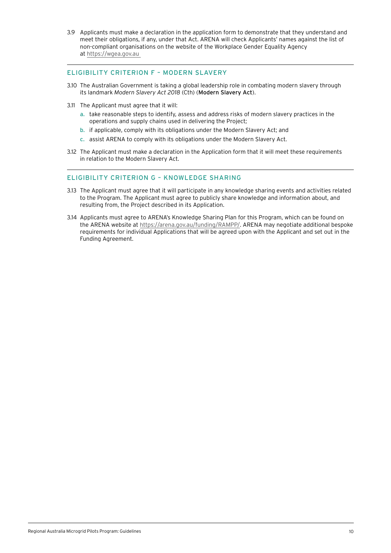3.9 Applicants must make a declaration in the application form to demonstrate that they understand and meet their obligations, if any, under that Act. ARENA will check Applicants' names against the list of non-compliant organisations on the website of the Workplace Gender Equality Agency at https:/[/wgea.gov.au](https://wgea.gov.au) 

#### ELIGIBILITY CRITERION F – MODERN SLAVERY

- 3.10 The Australian Government is taking a global leadership role in combating modern slavery through its landmark *Modern Slavery Act 2018* (Cth) (Modern Slavery Act).
- 3.11 The Applicant must agree that it will:
	- a. take reasonable steps to identify, assess and address risks of modern slavery practices in the operations and supply chains used in delivering the Project;
	- b. if applicable, comply with its obligations under the Modern Slavery Act; and
	- c. assist ARENA to comply with its obligations under the Modern Slavery Act.
- 3.12 The Applicant must make a declaration in the Application form that it will meet these requirements in relation to the Modern Slavery Act.

#### ELIGIBILITY CRITERION G – KNOWLEDGE SHARING

- 3.13 The Applicant must agree that it will participate in any knowledge sharing events and activities related to the Program. The Applicant must agree to publicly share knowledge and information about, and resulting from, the Project described in its Application.
- 3.14 Applicants must agree to ARENA's Knowledge Sharing Plan for this Program, which can be found on the ARENA website at<https://arena.gov.au/funding/RAMPP/>. ARENA may negotiate additional bespoke requirements for individual Applications that will be agreed upon with the Applicant and set out in the Funding Agreement.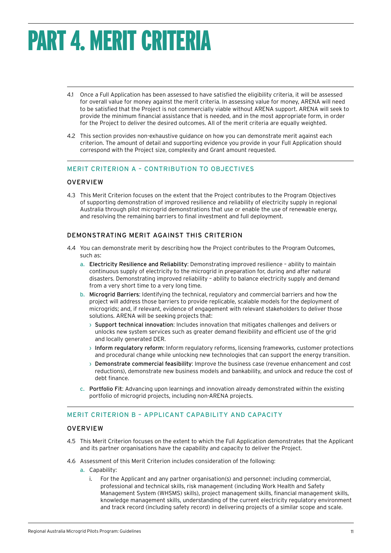### <span id="page-10-0"></span>Part 4. MERIT CRITERIA

- 4.1 Once a Full Application has been assessed to have satisfied the eligibility criteria, it will be assessed for overall value for money against the merit criteria. In assessing value for money, ARENA will need to be satisfied that the Project is not commercially viable without ARENA support. ARENA will seek to provide the minimum financial assistance that is needed, and in the most appropriate form, in order for the Project to deliver the desired outcomes. All of the merit criteria are equally weighted.
- 4.2 This section provides non-exhaustive guidance on how you can demonstrate merit against each criterion. The amount of detail and supporting evidence you provide in your Full Application should correspond with the Project size, complexity and Grant amount requested.

#### MERIT CRITERION A – CONTRIBUTION TO OBJECTIVES

#### **OVERVIEW**

4.3 This Merit Criterion focuses on the extent that the Project contributes to the Program Objectives of supporting demonstration of improved resilience and reliability of electricity supply in regional Australia through pilot microgrid demonstrations that use or enable the use of renewable energy, and resolving the remaining barriers to final investment and full deployment.

#### DEMONSTRATING MERIT AGAINST THIS CRITERION

- 4.4 You can demonstrate merit by describing how the Project contributes to the Program Outcomes, such as:
	- a. Electricity Resilience and Reliability: Demonstrating improved resilience ability to maintain continuous supply of electricity to the microgrid in preparation for, during and after natural disasters. Demonstrating improved reliability – ability to balance electricity supply and demand from a very short time to a very long time.
	- b. Microgrid Barriers: Identifying the technical, regulatory and commercial barriers and how the project will address those barriers to provide replicable, scalable models for the deployment of microgrids; and, if relevant, evidence of engagement with relevant stakeholders to deliver those solutions. ARENA will be seeking projects that:
		- $\rightarrow$  Support technical innovation: Includes innovation that mitigates challenges and delivers or unlocks new system services such as greater demand flexibility and efficient use of the grid and locally generated DER.
		- > Inform regulatory reform: Inform regulatory reforms, licensing frameworks, customer protections and procedural change while unlocking new technologies that can support the energy transition.
		- › Demonstrate commercial feasibility: Improve the business case (revenue enhancement and cost reductions), demonstrate new business models and bankability, and unlock and reduce the cost of debt finance.
	- c. Portfolio Fit: Advancing upon learnings and innovation already demonstrated within the existing portfolio of microgrid projects, including non-ARENA projects.

#### MERIT CRITERION B – APPLICANT CAPABILITY AND CAPACITY

#### **OVERVIEW**

- 4.5 This Merit Criterion focuses on the extent to which the Full Application demonstrates that the Applicant and its partner organisations have the capability and capacity to deliver the Project.
- 4.6 Assessment of this Merit Criterion includes consideration of the following:
	- a. Capability:
		- i. For the Applicant and any partner organisation(s) and personnel: including commercial, professional and technical skills, risk management (including Work Health and Safety Management System (WHSMS) skills), project management skills, financial management skills, knowledge management skills, understanding of the current electricity regulatory environment and track record (including safety record) in delivering projects of a similar scope and scale.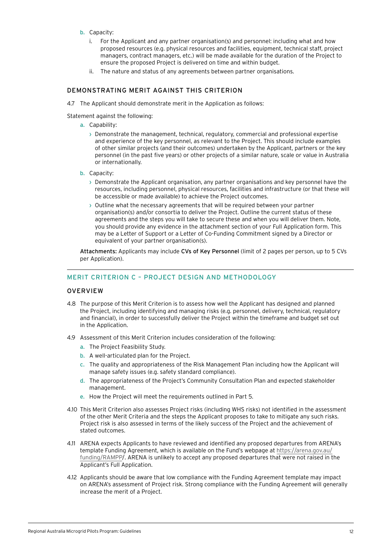- b. Capacity:
	- i. For the Applicant and any partner organisation(s) and personnel: including what and how proposed resources (e.g. physical resources and facilities, equipment, technical staff, project managers, contract managers, etc.) will be made available for the duration of the Project to ensure the proposed Project is delivered on time and within budget.
	- ii. The nature and status of any agreements between partner organisations.

#### DEMONSTRATING MERIT AGAINST THIS CRITERION

4.7 The Applicant should demonstrate merit in the Application as follows:

Statement against the following:

- a. Capability:
	- › Demonstrate the management, technical, regulatory, commercial and professional expertise and experience of the key personnel, as relevant to the Project. This should include examples of other similar projects (and their outcomes) undertaken by the Applicant, partners or the key personnel (in the past five years) or other projects of a similar nature, scale or value in Australia or internationally.
- b. Capacity:
	- › Demonstrate the Applicant organisation, any partner organisations and key personnel have the resources, including personnel, physical resources, facilities and infrastructure (or that these will be accessible or made available) to achieve the Project outcomes.
	- › Outline what the necessary agreements that will be required between your partner organisation(s) and/or consortia to deliver the Project. Outline the current status of these agreements and the steps you will take to secure these and when you will deliver them. Note, you should provide any evidence in the attachment section of your Full Application form. This may be a Letter of Support or a Letter of Co-Funding Commitment signed by a Director or equivalent of your partner organisation(s).

Attachments: Applicants may include CVs of Key Personnel (limit of 2 pages per person, up to 5 CVs per Application).

#### MERIT CRITERION C – PROJECT DESIGN AND METHODOLOGY

#### **OVERVIEW**

- 4.8 The purpose of this Merit Criterion is to assess how well the Applicant has designed and planned the Project, including identifying and managing risks (e.g. personnel, delivery, technical, regulatory and financial), in order to successfully deliver the Project within the timeframe and budget set out in the Application.
- 4.9 Assessment of this Merit Criterion includes consideration of the following:
	- a. The Project Feasibility Study.
	- b. A well-articulated plan for the Project.
	- c. The quality and appropriateness of the Risk Management Plan including how the Applicant will manage safety issues (e.g. safety standard compliance).
	- d. The appropriateness of the Project's Community Consultation Plan and expected stakeholder management.
	- e. How the Project will meet the requirements outlined in Part 5.
- 4.10 This Merit Criterion also assesses Project risks (including WHS risks) not identified in the assessment of the other Merit Criteria and the steps the Applicant proposes to take to mitigate any such risks. Project risk is also assessed in terms of the likely success of the Project and the achievement of stated outcomes.
- 4.11 ARENA expects Applicants to have reviewed and identified any proposed departures from ARENA's template Funding Agreement, which is available on the Fund's webpage at [https://arena.gov.au/](https://arena.gov.au/funding/RAMPP) [funding/RAMPP/](https://arena.gov.au/funding/RAMPP). ARENA is unlikely to accept any proposed departures that were not raised in the Applicant's Full Application.
- 4.12 Applicants should be aware that low compliance with the Funding Agreement template may impact on ARENA's assessment of Project risk. Strong compliance with the Funding Agreement will generally increase the merit of a Project.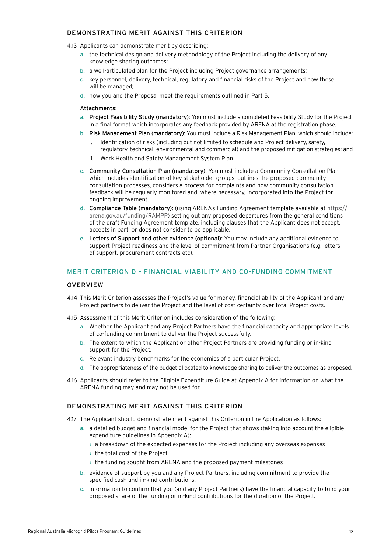#### DEMONSTRATING MERIT AGAINST THIS CRITERION

- 4.13 Applicants can demonstrate merit by describing:
	- a. the technical design and delivery methodology of the Project including the delivery of any knowledge sharing outcomes;
	- b. a well-articulated plan for the Project including Project governance arrangements;
	- c. key personnel, delivery, technical, regulatory and financial risks of the Project and how these will be managed;
	- d. how you and the Proposal meet the requirements outlined in Part 5.

#### Attachments:

- a. Project Feasibility Study (mandatory): You must include a completed Feasibility Study for the Project in a final format which incorporates any feedback provided by ARENA at the registration phase.
- b. Risk Management Plan (mandatory): You must include a Risk Management Plan, which should include:
	- Identification of risks (including but not limited to schedule and Project delivery, safety, regulatory, technical, environmental and commercial) and the proposed mitigation strategies; and
	- ii. Work Health and Safety Management System Plan.
- c. Community Consultation Plan (mandatory): You must include a Community Consultation Plan which includes identification of key stakeholder groups, outlines the proposed community consultation processes, considers a process for complaints and how community consultation feedback will be regularly monitored and, where necessary, incorporated into the Project for ongoing improvement.
- d. Compliance Table (mandatory): (using ARENA's Funding Agreement template available at [https://](https://arena.gov.au/funding/RAMPP) [arena.gov.au/funding/RAMPP](https://arena.gov.au/funding/RAMPP)) setting out any proposed departures from the general conditions of the draft Funding Agreement template, including clauses that the Applicant does not accept, accepts in part, or does not consider to be applicable.
- e. Letters of Support and other evidence (optional): You may include any additional evidence to support Project readiness and the level of commitment from Partner Organisations (e.g. letters of support, procurement contracts etc).

#### MERIT CRITERION D – FINANCIAL VIABILITY AND CO-FUNDING COMMITMENT

#### **OVERVIEW**

- 4.14 This Merit Criterion assesses the Project's value for money, financial ability of the Applicant and any Project partners to deliver the Project and the level of cost certainty over total Project costs.
- 4.15 Assessment of this Merit Criterion includes consideration of the following:
	- a. Whether the Applicant and any Project Partners have the financial capacity and appropriate levels of co-funding commitment to deliver the Project successfully.
	- b. The extent to which the Applicant or other Project Partners are providing funding or in-kind support for the Project.
	- c. Relevant industry benchmarks for the economics of a particular Project.
	- d. The appropriateness of the budget allocated to knowledge sharing to deliver the outcomes as proposed.
- 4.16 Applicants should refer to the Eligible Expenditure Guide at Appendix A for information on what the ARENA funding may and may not be used for.

#### DEMONSTRATING MERIT AGAINST THIS CRITERION

- 4.17 The Applicant should demonstrate merit against this Criterion in the Application as follows:
	- a. a detailed budget and financial model for the Project that shows (taking into account the eligible expenditure guidelines in Appendix A):
		- $\rightarrow$  a breakdown of the expected expenses for the Project including any overseas expenses
		- › the total cost of the Project
		- $\rightarrow$  the funding sought from ARENA and the proposed payment milestones
	- b. evidence of support by you and any Project Partners, including commitment to provide the specified cash and in-kind contributions.
	- c. information to confirm that you (and any Project Partners) have the financial capacity to fund your proposed share of the funding or in-kind contributions for the duration of the Project.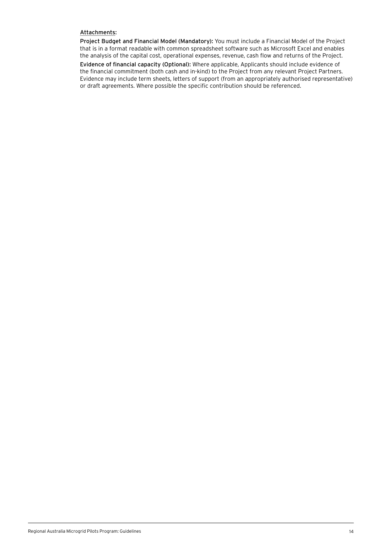#### Attachments:

Project Budget and Financial Model (Mandatory): You must include a Financial Model of the Project that is in a format readable with common spreadsheet software such as Microsoft Excel and enables the analysis of the capital cost, operational expenses, revenue, cash flow and returns of the Project.

Evidence of financial capacity (Optional): Where applicable, Applicants should include evidence of the financial commitment (both cash and in-kind) to the Project from any relevant Project Partners. Evidence may include term sheets, letters of support (from an appropriately authorised representative) or draft agreements. Where possible the specific contribution should be referenced.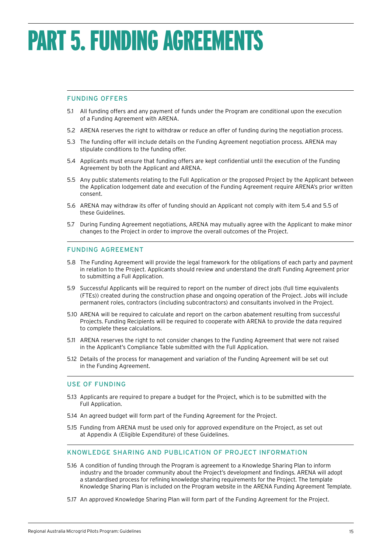### <span id="page-14-0"></span>Part 5. FUNDING AGREEMENTS

#### FUNDING OFFERS

- 5.1 All funding offers and any payment of funds under the Program are conditional upon the execution of a Funding Agreement with ARENA.
- 5.2 ARENA reserves the right to withdraw or reduce an offer of funding during the negotiation process.
- 5.3 The funding offer will include details on the Funding Agreement negotiation process. ARENA may stipulate conditions to the funding offer.
- 5.4 Applicants must ensure that funding offers are kept confidential until the execution of the Funding Agreement by both the Applicant and ARENA.
- 5.5 Any public statements relating to the Full Application or the proposed Project by the Applicant between the Application lodgement date and execution of the Funding Agreement require ARENA's prior written consent.
- 5.6 ARENA may withdraw its offer of funding should an Applicant not comply with item 5.4 and 5.5 of these Guidelines.
- 5.7 During Funding Agreement negotiations, ARENA may mutually agree with the Applicant to make minor changes to the Project in order to improve the overall outcomes of the Project.

#### FUNDING AGREEMENT

- 5.8 The Funding Agreement will provide the legal framework for the obligations of each party and payment in relation to the Project. Applicants should review and understand the draft Funding Agreement prior to submitting a Full Application.
- 5.9 Successful Applicants will be required to report on the number of direct jobs (full time equivalents (FTEs)) created during the construction phase and ongoing operation of the Project. Jobs will include permanent roles, contractors (including subcontractors) and consultants involved in the Project.
- 5.10 ARENA will be required to calculate and report on the carbon abatement resulting from successful Projects. Funding Recipients will be required to cooperate with ARENA to provide the data required to complete these calculations.
- 5.11 ARENA reserves the right to not consider changes to the Funding Agreement that were not raised in the Applicant's Compliance Table submitted with the Full Application.
- 5.12 Details of the process for management and variation of the Funding Agreement will be set out in the Funding Agreement.

#### USE OF FUNDING

- 5.13 Applicants are required to prepare a budget for the Project, which is to be submitted with the Full Application.
- 5.14 An agreed budget will form part of the Funding Agreement for the Project.
- 5.15 Funding from ARENA must be used only for approved expenditure on the Project, as set out at Appendix A (Eligible Expenditure) of these Guidelines.

#### KNOWLEDGE SHARING AND PUBLICATION OF PROJECT INFORMATION

- 5.16 A condition of funding through the Program is agreement to a Knowledge Sharing Plan to inform industry and the broader community about the Project's development and findings. ARENA will adopt a standardised process for refining knowledge sharing requirements for the Project. The template Knowledge Sharing Plan is included on the Program website in the ARENA Funding Agreement Template.
- 5.17 An approved Knowledge Sharing Plan will form part of the Funding Agreement for the Project.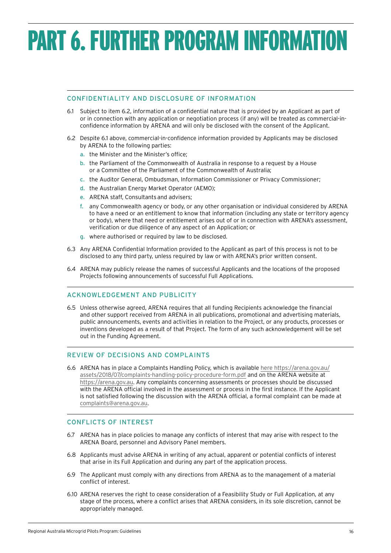### <span id="page-15-0"></span>Part 6. FURTHER PROGRAM INFORMATION

#### CONFIDENTIALITY AND DISCLOSURE OF INFORMATION

- 6.1 Subject to item 6.2, information of a confidential nature that is provided by an Applicant as part of or in connection with any application or negotiation process (if any) will be treated as commercial-inconfidence information by ARENA and will only be disclosed with the consent of the Applicant.
- 6.2 Despite 6.1 above, commercial-in-confidence information provided by Applicants may be disclosed by ARENA to the following parties:
	- a. the Minister and the Minister's office;
	- b. the Parliament of the Commonwealth of Australia in response to a request by a House or a Committee of the Parliament of the Commonwealth of Australia;
	- c. the Auditor General, Ombudsman, Information Commissioner or Privacy Commissioner;
	- d. the Australian Energy Market Operator (AEMO);
	- e. ARENA staff, Consultants and advisers;
	- f. any Commonwealth agency or body, or any other organisation or individual considered by ARENA to have a need or an entitlement to know that information (including any state or territory agency or body), where that need or entitlement arises out of or in connection with ARENA's assessment, verification or due diligence of any aspect of an Application; or
	- g. where authorised or required by law to be disclosed.
- 6.3 Any ARENA Confidential Information provided to the Applicant as part of this process is not to be disclosed to any third party, unless required by law or with ARENA's prior written consent.
- 6.4 ARENA may publicly release the names of successful Applicants and the locations of the proposed Projects following announcements of successful Full Applications.

#### ACKNOWLEDGEMENT AND PUBLICITY

6.5 Unless otherwise agreed, ARENA requires that all funding Recipients acknowledge the financial and other support received from ARENA in all publications, promotional and advertising materials, public announcements, events and activities in relation to the Project, or any products, processes or inventions developed as a result of that Project. The form of any such acknowledgement will be set out in the Funding Agreement.

#### REVIEW OF DECISIONS AND COMPLAINTS

6.6 ARENA has in place a Complaints Handling Policy, which is available [here](https://arena.gov.au/assets/2018/07/complaints-handling-policy-procedure-form.pdf) [https://arena.gov.au/](https://arena.gov.au/assets/2018/07/complaints-handling-policy-procedure-form.pdf) [assets/2018/07/complaints-handling-policy-procedure-form.pdf](https://arena.gov.au/assets/2018/07/complaints-handling-policy-procedure-form.pdf) and on the ARENA website at [https://arena.gov.au.](https://arena.gov.au) Any complaints concerning assessments or processes should be discussed with the ARENA official involved in the assessment or process in the first instance. If the Applicant is not satisfied following the discussion with the ARENA official, a formal complaint can be made at [complaints@arena.gov.au.](mailto:complaints%40arena.gov.au?subject=)

#### CONFLICTS OF INTEREST

- 6.7 ARENA has in place policies to manage any conflicts of interest that may arise with respect to the ARENA Board, personnel and Advisory Panel members.
- 6.8 Applicants must advise ARENA in writing of any actual, apparent or potential conflicts of interest that arise in its Full Application and during any part of the application process.
- 6.9 The Applicant must comply with any directions from ARENA as to the management of a material conflict of interest.
- 6.10 ARENA reserves the right to cease consideration of a Feasibility Study or Full Application, at any stage of the process, where a conflict arises that ARENA considers, in its sole discretion, cannot be appropriately managed.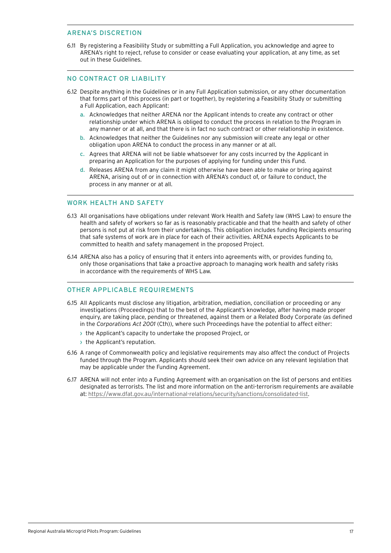#### ARENA'S DISCRETION

6.11 By registering a Feasibility Study or submitting a Full Application, you acknowledge and agree to ARENA's right to reject, refuse to consider or cease evaluating your application, at any time, as set out in these Guidelines.

#### NO CONTRACT OR LIABILITY

- 6.12 Despite anything in the Guidelines or in any Full Application submission, or any other documentation that forms part of this process (in part or together), by registering a Feasibility Study or submitting a Full Application, each Applicant:
	- a. Acknowledges that neither ARENA nor the Applicant intends to create any contract or other relationship under which ARENA is obliged to conduct the process in relation to the Program in any manner or at all, and that there is in fact no such contract or other relationship in existence.
	- b. Acknowledges that neither the Guidelines nor any submission will create any legal or other obligation upon ARENA to conduct the process in any manner or at all.
	- c. Agrees that ARENA will not be liable whatsoever for any costs incurred by the Applicant in preparing an Application for the purposes of applying for funding under this Fund.
	- d. Releases ARENA from any claim it might otherwise have been able to make or bring against ARENA, arising out of or in connection with ARENA's conduct of, or failure to conduct, the process in any manner or at all.

#### WORK HEALTH AND SAFETY

- 6.13 All organisations have obligations under relevant Work Health and Safety law (WHS Law) to ensure the health and safety of workers so far as is reasonably practicable and that the health and safety of other persons is not put at risk from their undertakings. This obligation includes funding Recipients ensuring that safe systems of work are in place for each of their activities. ARENA expects Applicants to be committed to health and safety management in the proposed Project.
- 6.14 ARENA also has a policy of ensuring that it enters into agreements with, or provides funding to, only those organisations that take a proactive approach to managing work health and safety risks in accordance with the requirements of WHS Law.

#### OTHER APPLICABLE REQUIREMENTS

- 6.15 All Applicants must disclose any litigation, arbitration, mediation, conciliation or proceeding or any investigations (Proceedings) that to the best of the Applicant's knowledge, after having made proper enquiry, are taking place, pending or threatened, against them or a Related Body Corporate (as defined in the *Corporations Act 2001* (Cth)), where such Proceedings have the potential to affect either:
	- › the Applicant's capacity to undertake the proposed Project, or
	- > the Applicant's reputation.
- 6.16 A range of Commonwealth policy and legislative requirements may also affect the conduct of Projects funded through the Program. Applicants should seek their own advice on any relevant legislation that may be applicable under the Funding Agreement.
- 6.17 ARENA will not enter into a Funding Agreement with an organisation on the list of persons and entities designated as terrorists. The list and more information on the anti-terrorism requirements are available at: <https://www.dfat.gov.au/international-relations/security/sanctions/consolidated-list>.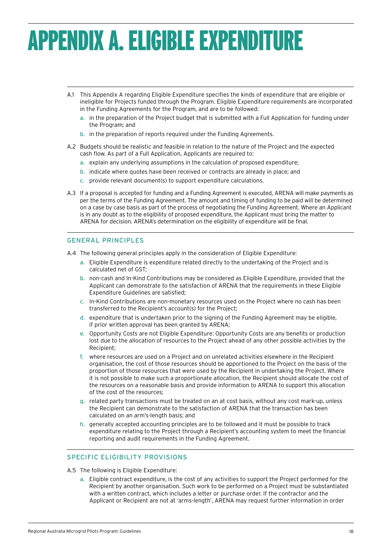### <span id="page-17-0"></span>Appendix A. ELIGIBLE EXPENDITURE

- A.1 This Appendix A regarding Eligible Expenditure specifies the kinds of expenditure that are eligible or ineligible for Projects funded through the Program. Eligible Expenditure requirements are incorporated in the Funding Agreements for the Program, and are to be followed:
	- a. in the preparation of the Project budget that is submitted with a Full Application for funding under the Program; and
	- b. in the preparation of reports required under the Funding Agreements.
- A.2 Budgets should be realistic and feasible in relation to the nature of the Project and the expected cash flow. As part of a Full Application, Applicants are required to:
	- a. explain any underlying assumptions in the calculation of proposed expenditure;
	- b. indicate where quotes have been received or contracts are already in place; and
	- c. provide relevant document(s) to support expenditure calculations.
- A.3 If a proposal is accepted for funding and a Funding Agreement is executed, ARENA will make payments as per the terms of the Funding Agreement. The amount and timing of funding to be paid will be determined on a case by case basis as part of the process of negotiating the Funding Agreement. Where an Applicant is in any doubt as to the eligibility of proposed expenditure, the Applicant must bring the matter to ARENA for decision. ARENA's determination on the eligibility of expenditure will be final.

#### GENERAL PRINCIPLES

- A.4 The following general principles apply in the consideration of Eligible Expenditure:
	- a. Eligible Expenditure is expenditure related directly to the undertaking of the Project and is calculated net of GST;
	- b. non-cash and In-Kind Contributions may be considered as Eligible Expenditure, provided that the Applicant can demonstrate to the satisfaction of ARENA that the requirements in these Eligible Expenditure Guidelines are satisfied;
	- c. In-Kind Contributions are non-monetary resources used on the Project where no cash has been transferred to the Recipient's account(s) for the Project;
	- d. expenditure that is undertaken prior to the signing of the Funding Agreement may be eligible, if prior written approval has been granted by ARENA;
	- e. Opportunity Costs are not Eligible Expenditure: Opportunity Costs are any benefits or production lost due to the allocation of resources to the Project ahead of any other possible activities by the Recipient;
	- f. where resources are used on a Project and on unrelated activities elsewhere in the Recipient organisation, the cost of those resources should be apportioned to the Project on the basis of the proportion of those resources that were used by the Recipient in undertaking the Project. Where it is not possible to make such a proportionate allocation, the Recipient should allocate the cost of the resources on a reasonable basis and provide information to ARENA to support this allocation of the cost of the resources;
	- g. related party transactions must be treated on an at cost basis, without any cost mark-up, unless the Recipient can demonstrate to the satisfaction of ARENA that the transaction has been calculated on an arm's-length basis; and
	- h. generally accepted accounting principles are to be followed and it must be possible to track expenditure relating to the Project through a Recipient's accounting system to meet the financial reporting and audit requirements in the Funding Agreement.

#### SPECIFIC ELIGIBILITY PROVISIONS

- A.5 The following is Eligible Expenditure:
	- a. Eligible contract expenditure, is the cost of any activities to support the Project performed for the Recipient by another organisation. Such work to be performed on a Project must be substantiated with a written contract, which includes a letter or purchase order. If the contractor and the Applicant or Recipient are not at 'arms-length', ARENA may request further information in order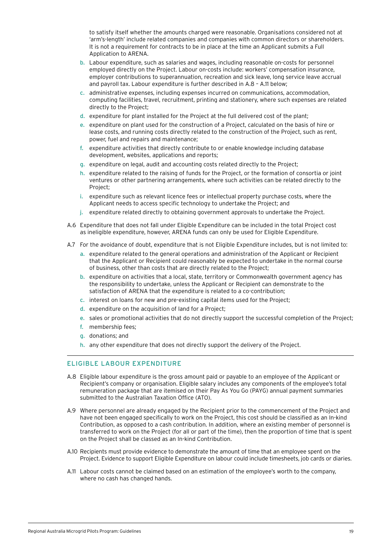to satisfy itself whether the amounts charged were reasonable. Organisations considered not at 'arm's-length' include related companies and companies with common directors or shareholders. It is not a requirement for contracts to be in place at the time an Applicant submits a Full Application to ARENA.

- b. Labour expenditure, such as salaries and wages, including reasonable on-costs for personnel employed directly on the Project. Labour on-costs include: workers' compensation insurance, employer contributions to superannuation, recreation and sick leave, long service leave accrual and payroll tax. Labour expenditure is further described in A.8 – A.11 below;
- c. administrative expenses, including expenses incurred on communications, accommodation, computing facilities, travel, recruitment, printing and stationery, where such expenses are related directly to the Project;
- d. expenditure for plant installed for the Project at the full delivered cost of the plant;
- e. expenditure on plant used for the construction of a Project, calculated on the basis of hire or lease costs, and running costs directly related to the construction of the Project, such as rent, power, fuel and repairs and maintenance;
- f. expenditure activities that directly contribute to or enable knowledge including database development, websites, applications and reports;
- g. expenditure on legal, audit and accounting costs related directly to the Project;
- h. expenditure related to the raising of funds for the Project, or the formation of consortia or joint ventures or other partnering arrangements, where such activities can be related directly to the Project;
- i. expenditure such as relevant licence fees or intellectual property purchase costs, where the Applicant needs to access specific technology to undertake the Project; and
- j. expenditure related directly to obtaining government approvals to undertake the Project.
- A.6 Expenditure that does not fall under Eligible Expenditure can be included in the total Project cost as ineligible expenditure, however, ARENA funds can only be used for Eligible Expenditure.
- A.7 For the avoidance of doubt, expenditure that is not Eligible Expenditure includes, but is not limited to:
	- a. expenditure related to the general operations and administration of the Applicant or Recipient that the Applicant or Recipient could reasonably be expected to undertake in the normal course of business, other than costs that are directly related to the Project;
	- b. expenditure on activities that a local, state, territory or Commonwealth government agency has the responsibility to undertake, unless the Applicant or Recipient can demonstrate to the satisfaction of ARENA that the expenditure is related to a co-contribution;
	- c. interest on loans for new and pre-existing capital items used for the Project;
	- d. expenditure on the acquisition of land for a Project;
	- e. sales or promotional activities that do not directly support the successful completion of the Project;
	- f. membership fees;
	- g. donations; and
	- h. any other expenditure that does not directly support the delivery of the Project.

#### ELIGIBLE LABOUR EXPENDITURE

- A.8 Eligible labour expenditure is the gross amount paid or payable to an employee of the Applicant or Recipient's company or organisation. Eligible salary includes any components of the employee's total remuneration package that are itemised on their Pay As You Go (PAYG) annual payment summaries submitted to the Australian Taxation Office (ATO).
- A.9 Where personnel are already engaged by the Recipient prior to the commencement of the Project and have not been engaged specifically to work on the Project, this cost should be classified as an In-kind Contribution, as opposed to a cash contribution. In addition, where an existing member of personnel is transferred to work on the Project (for all or part of the time), then the proportion of time that is spent on the Project shall be classed as an In-kind Contribution.
- A.10 Recipients must provide evidence to demonstrate the amount of time that an employee spent on the Project. Evidence to support Eligible Expenditure on labour could include timesheets, job cards or diaries.
- A.11 Labour costs cannot be claimed based on an estimation of the employee's worth to the company, where no cash has changed hands.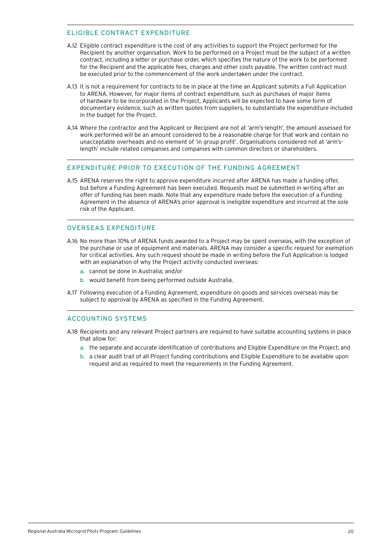#### ELIGIBLE CONTRACT EXPENDITURE

- A.12 Eligible contract expenditure is the cost of any activities to support the Project performed for the Recipient by another organisation. Work to be performed on a Project must be the subject of a written contract, including a letter or purchase order, which specifies the nature of the work to be performed for the Recipient and the applicable fees, charges and other costs payable. The written contract must be executed prior to the commencement of the work undertaken under the contract.
- A.13 It is not a requirement for contracts to be in place at the time an Applicant submits a Full Application to ARENA. However, for major items of contract expenditure, such as purchases of major items of hardware to be incorporated in the Project, Applicants will be expected to have some form of documentary evidence, such as written quotes from suppliers, to substantiate the expenditure included in the budget for the Project.
- A.14 Where the contractor and the Applicant or Recipient are not at 'arm's-length', the amount assessed for work performed will be an amount considered to be a reasonable charge for that work and contain no unacceptable overheads and no element of 'in group profit'. Organisations considered not at 'arm'slength' include related companies and companies with common directors or shareholders.

#### EXPENDITURE PRIOR TO EXECUTION OF THE FUNDING AGREEMENT

A.15 ARENA reserves the right to approve expenditure incurred after ARENA has made a funding offer, but before a Funding Agreement has been executed. Requests must be submitted in writing after an offer of funding has been made. Note that any expenditure made before the execution of a Funding Agreement in the absence of ARENA's prior approval is ineligible expenditure and incurred at the sole risk of the Applicant.

#### OVERSEAS EXPENDITURE

- A.16 No more than 10% of ARENA funds awarded to a Project may be spent overseas, with the exception of the purchase or use of equipment and materials. ARENA may consider a specific request for exemption for critical activities. Any such request should be made in writing before the Full Application is lodged with an explanation of why the Project activity conducted overseas:
	- a. cannot be done in Australia; and/or
	- b. would benefit from being performed outside Australia.
- A.17 Following execution of a Funding Agreement, expenditure on goods and services overseas may be subject to approval by ARENA as specified in the Funding Agreement.

#### ACCOUNTING SYSTEMS

- A.18 Recipients and any relevant Project partners are required to have suitable accounting systems in place that allow for:
	- a. the separate and accurate identification of contributions and Eligible Expenditure on the Project; and
	- b. a clear audit trail of all Project funding contributions and Eligible Expenditure to be available upon request and as required to meet the requirements in the Funding Agreement.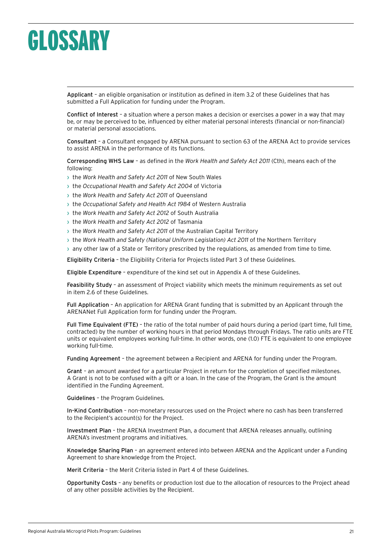### <span id="page-20-0"></span>GLOSSARY

Applicant – an eligible organisation or institution as defined in item 3.2 of these Guidelines that has submitted a Full Application for funding under the Program.

Conflict of Interest – a situation where a person makes a decision or exercises a power in a way that may be, or may be perceived to be, influenced by either material personal interests (financial or non-financial) or material personal associations.

Consultant – a Consultant engaged by ARENA pursuant to section 63 of the ARENA Act to provide services to assist ARENA in the performance of its functions.

Corresponding WHS Law – as defined in the *Work Health and Safety Act 2011* (Cth), means each of the following:

- › the *Work Health and Safety Act 2011* of New South Wales
- › the *Occupational Health and Safety Act 2004* of Victoria
- › the *Work Health and Safety Act 2011* of Queensland
- › the *Occupational Safety and Health Act 1984* of Western Australia
- › the *Work Health and Safety Act 2012* of South Australia
- › the *Work Health and Safety Act 2012* of Tasmania
- › the *Work Health and Safety Act 2011* of the Australian Capital Territory
- › the *Work Health and Safety (National Uniform Legislation) Act 2011* of the Northern Territory
- $\rightarrow$  any other law of a State or Territory prescribed by the regulations, as amended from time to time.

Eligibility Criteria – the Eligibility Criteria for Projects listed Part 3 of these Guidelines.

Eligible Expenditure – expenditure of the kind set out in Appendix A of these Guidelines.

Feasibility Study – an assessment of Project viability which meets the minimum requirements as set out in item 2.6 of these Guidelines.

Full Application – An application for ARENA Grant funding that is submitted by an Applicant through the ARENANet Full Application form for funding under the Program.

Full Time Equivalent (FTE) – the ratio of the total number of paid hours during a period (part time, full time, contracted) by the number of working hours in that period Mondays through Fridays. The ratio units are FTE units or equivalent employees working full-time. In other words, one (1.0) FTE is equivalent to one employee working full-time.

Funding Agreement – the agreement between a Recipient and ARENA for funding under the Program.

Grant – an amount awarded for a particular Project in return for the completion of specified milestones. A Grant is not to be confused with a gift or a loan. In the case of the Program, the Grant is the amount identified in the Funding Agreement.

Guidelines – the Program Guidelines.

In-Kind Contribution – non-monetary resources used on the Project where no cash has been transferred to the Recipient's account(s) for the Project.

Investment Plan – the ARENA Investment Plan, a document that ARENA releases annually, outlining ARENA's investment programs and initiatives.

Knowledge Sharing Plan – an agreement entered into between ARENA and the Applicant under a Funding Agreement to share knowledge from the Project.

Merit Criteria – the Merit Criteria listed in Part 4 of these Guidelines.

Opportunity Costs – any benefits or production lost due to the allocation of resources to the Project ahead of any other possible activities by the Recipient.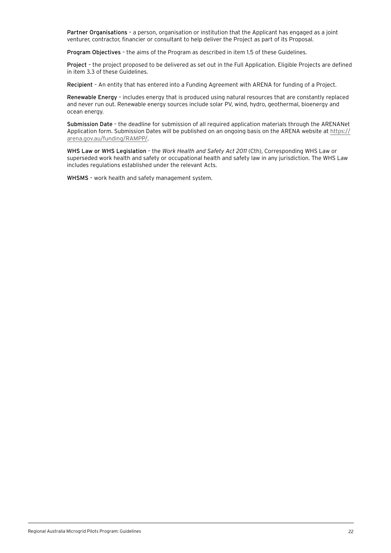Partner Organisations - a person, organisation or institution that the Applicant has engaged as a joint venturer, contractor, financier or consultant to help deliver the Project as part of its Proposal.

Program Objectives – the aims of the Program as described in item 1.5 of these Guidelines.

Project – the project proposed to be delivered as set out in the Full Application. Eligible Projects are defined in item 3.3 of these Guidelines.

Recipient – An entity that has entered into a Funding Agreement with ARENA for funding of a Project.

Renewable Energy – includes energy that is produced using natural resources that are constantly replaced and never run out. Renewable energy sources include solar PV, wind, hydro, geothermal, bioenergy and ocean energy.

Submission Date – the deadline for submission of all required application materials through the ARENANet Application form. Submission Dates will be published on an ongoing basis on the ARENA website at [https://](https://arena.gov.au/funding/RAMPP/) [arena.gov.au/funding/RAMPP/.](https://arena.gov.au/funding/RAMPP/)

WHS Law or WHS Legislation – the *Work Health and Safety Act 2011* (Cth), Corresponding WHS Law or superseded work health and safety or occupational health and safety law in any jurisdiction. The WHS Law includes regulations established under the relevant Acts.

WHSMS – work health and safety management system.